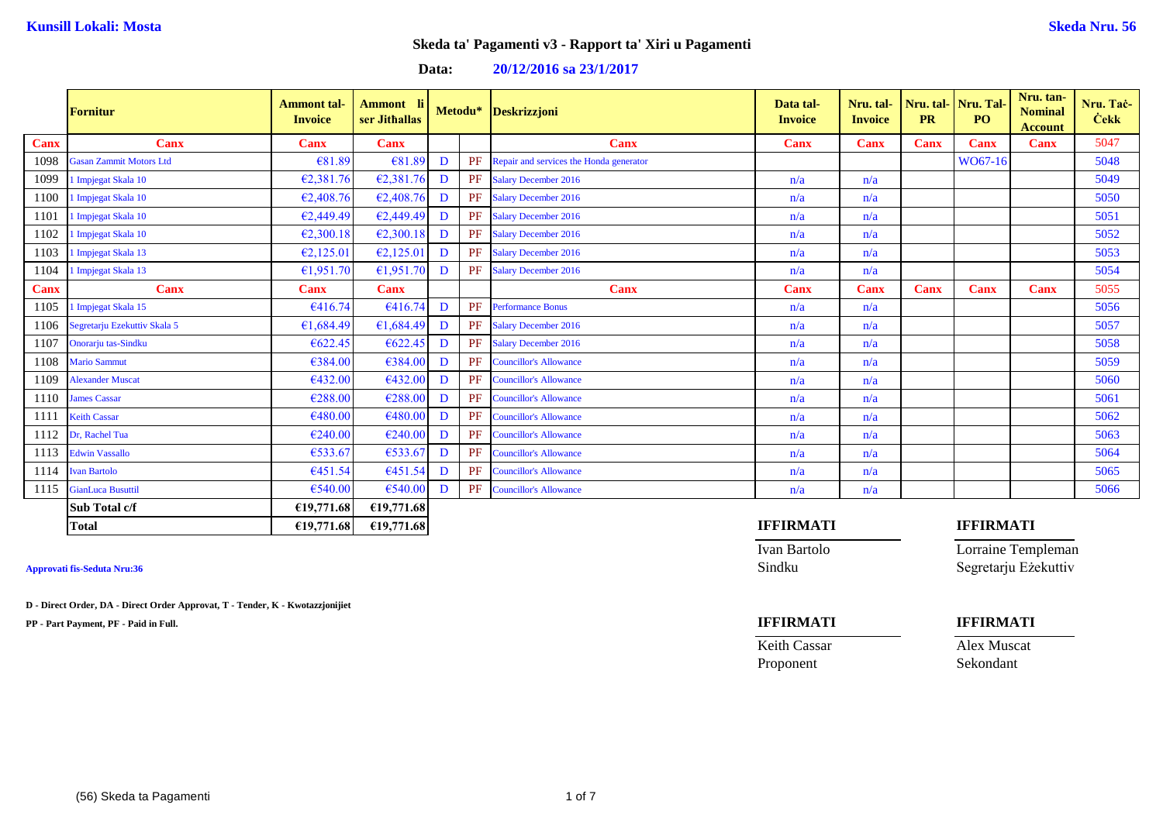### **Data: 20/12/2016 sa 23/1/2017**

|             | <b>Fornitur</b>                | <b>Ammont</b> tal-<br><b>Invoice</b> | Ammont li<br>ser Jithallas |   | Metodu* | <b>Deskrizzjoni</b>                     | Data tal-<br><b>Invoice</b> | Nru. tal-<br><b>Invoice</b> | Nru. tal-<br><b>PR</b> | Nru. Tal-<br>PO <sub>1</sub> | Nru. tan-<br><b>Nominal</b><br><b>Account</b> | Nru. Tač-<br><b>Cekk</b> |
|-------------|--------------------------------|--------------------------------------|----------------------------|---|---------|-----------------------------------------|-----------------------------|-----------------------------|------------------------|------------------------------|-----------------------------------------------|--------------------------|
| <b>Canx</b> | Canx                           | <b>Canx</b>                          | <b>Canx</b>                |   |         | <b>Canx</b>                             | <b>Canx</b>                 | <b>Canx</b>                 | <b>Canx</b>            | <b>Canx</b>                  | <b>Canx</b>                                   | 5047                     |
| 1098        | <b>Gasan Zammit Motors Ltd</b> | €81.89                               | €81.89                     | D | PF      | Repair and services the Honda generator |                             |                             |                        | WO67-16                      |                                               | 5048                     |
| 1099        | I Impjegat Skala 10            | €2,381.76                            | €2,381.76                  | D |         | PF Salary December 2016                 | n/a                         | n/a                         |                        |                              |                                               | 5049                     |
| 1100        | I Impjegat Skala 10            | €2,408.76                            | €2,408.76                  | D |         | PF Salary December 2016                 | n/a                         | n/a                         |                        |                              |                                               | 5050                     |
| 1101        | I Impjegat Skala 10            | £2,449.49                            | £2,449.49                  | D |         | PF Salary December 2016                 | n/a                         | n/a                         |                        |                              |                                               | 5051                     |
| 1102        | Impjegat Skala 10              | €2,300.18                            | E2,300.18                  | D |         | PF Salary December 2016                 | n/a                         | n/a                         |                        |                              |                                               | 5052                     |
| 1103        | Impjegat Skala 13              | E2,125.01                            | E2,125.01                  | D |         | PF Salary December 2016                 | n/a                         | n/a                         |                        |                              |                                               | 5053                     |
| 1104        | Impjegat Skala 13              | €1,951.70                            | €1,951.70                  | D |         | PF Salary December 2016                 | n/a                         | n/a                         |                        |                              |                                               | 5054                     |
| <b>Canx</b> | <b>Canx</b>                    | <b>Canx</b>                          | Canx                       |   |         | <b>Canx</b>                             | <b>Canx</b>                 | <b>Canx</b>                 | <b>Canx</b>            | Canx                         | <b>Canx</b>                                   | 5055                     |
| 1105        | I Impjegat Skala 15            | €416.74                              | €416.74                    | D | PF      | <b>Performance Bonus</b>                | n/a                         | n/a                         |                        |                              |                                               | 5056                     |
| 1106        | Segretarju Ezekuttiv Skala 5   | €1,684.49                            | €1,684.49                  | D |         | PF Salary December 2016                 | n/a                         | n/a                         |                        |                              |                                               | 5057                     |
| 1107        | Onorarju tas-Sindku            | €622.45                              | €622.45                    | D |         | PF Salary December 2016                 | n/a                         | n/a                         |                        |                              |                                               | 5058                     |
| 1108        | <b>Mario Sammut</b>            | €384.00                              | €384.00                    | D | PF      | <b>Councillor's Allowance</b>           | n/a                         | n/a                         |                        |                              |                                               | 5059                     |
| 1109        | <b>Alexander Muscat</b>        | €432.00                              | €432.00                    | D | PF      | <b>Councillor's Allowance</b>           | n/a                         | n/a                         |                        |                              |                                               | 5060                     |
| 1110        | <b>James Cassar</b>            | €288.00                              | €288.00                    | D | PF      | <b>Councillor's Allowance</b>           | n/a                         | n/a                         |                        |                              |                                               | 5061                     |
| 1111        | <b>Keith Cassar</b>            | €480.00                              | €480.00                    | D | PF      | <b>Councillor's Allowance</b>           | n/a                         | n/a                         |                        |                              |                                               | 5062                     |
| 1112        | Dr. Rachel Tua                 | €240.00                              | €240.00                    | D | PF      | <b>Councillor's Allowance</b>           | n/a                         | n/a                         |                        |                              |                                               | 5063                     |
| 1113        | <b>Edwin Vassallo</b>          | €533.67                              | €533.67                    | D | PF      | <b>Councillor's Allowance</b>           | n/a                         | n/a                         |                        |                              |                                               | 5064                     |
| 1114        | <b>Ivan Bartolo</b>            | €451.54                              | €451.54                    | D | PF      | <b>Councillor's Allowance</b>           | n/a                         | n/a                         |                        |                              |                                               | 5065                     |
| 1115        | <b>GianLuca Busuttil</b>       | €540.00                              | €540.00                    | D |         | <b>PF</b> Councillor's Allowance        | n/a                         | n/a                         |                        |                              |                                               | 5066                     |
|             | Sub Total c/f                  | €19,771.68                           | €19,771.68                 |   |         |                                         |                             |                             |                        |                              |                                               |                          |
|             | <b>Total</b>                   | €19,771.68                           | €19,771.68                 |   |         |                                         | <b>IFFIRMATI</b>            |                             |                        | <b>IFFIRMATI</b>             |                                               |                          |

**D - Direct Order, DA - Direct Order Approvat, T - Tender, K - Kwotazzjonijiet**

**PP - Part Payment, PF - Paid in Full. IFFIRMATI IFFIRMATI**

Ivan Bartolo Lorraine Templeman **Approvati fis-Seduta Nru:36** Sindku Segretarju Eżekuttiv

Keith Cassar Alex Muscat Proponent Sekondant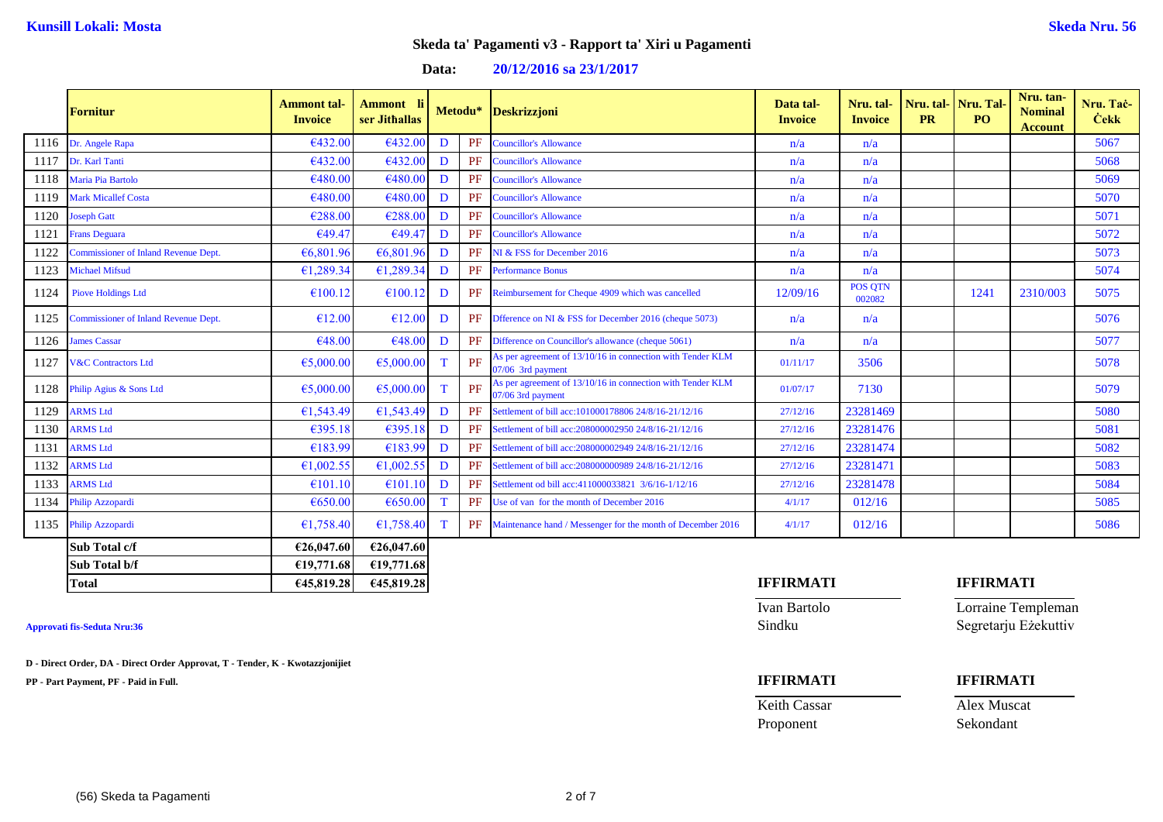### **Data: 20/12/2016 sa 23/1/2017**

|      | <b>Fornitur</b>                             | <b>Ammont tal-</b><br><b>Invoice</b> | Ammont li<br>ser Jithallas |    | Metodu* | <b>Deskrizzjoni</b>                                                             | Data tal-<br><b>Invoice</b> | Nru. tal-<br><b>Invoice</b> | <b>PR</b> | Nru. tal- Nru. Tal-<br>PO. | Nru. tan-<br><b>Nominal</b><br><b>Account</b> | Nru. Tač-<br><b>Cekk</b> |
|------|---------------------------------------------|--------------------------------------|----------------------------|----|---------|---------------------------------------------------------------------------------|-----------------------------|-----------------------------|-----------|----------------------------|-----------------------------------------------|--------------------------|
| 1116 | Dr. Angele Rapa                             | €432.00                              | €432.00                    | D  | PF      | <b>Councillor's Allowance</b>                                                   | n/a                         | n/a                         |           |                            |                                               | 5067                     |
| 1117 | Dr. Karl Tanti                              | €432.00                              | €432.00                    | D  | PF      | <b>Councillor's Allowance</b>                                                   | n/a                         | n/a                         |           |                            |                                               | 5068                     |
| 1118 | Maria Pia Bartolo                           | €480.00                              | €480.00                    | D  | PF      | <b>Councillor's Allowance</b>                                                   | n/a                         | n/a                         |           |                            |                                               | 5069                     |
| 1119 | <b>Mark Micallef Costa</b>                  | €480.00                              | €480.00                    | D  | PF      | <b>Councillor's Allowance</b>                                                   | n/a                         | n/a                         |           |                            |                                               | 5070                     |
| 1120 | <b>oseph Gatt</b>                           | €288.00                              | €288.00                    | D  | PF      | <b>Councillor's Allowance</b>                                                   | n/a                         | n/a                         |           |                            |                                               | 5071                     |
| 1121 | <b>Frans Deguara</b>                        | €49.47                               | €49.47                     | D  | PF      | <b>Councillor's Allowance</b>                                                   | n/a                         | n/a                         |           |                            |                                               | 5072                     |
| 1122 | <b>Commissioner of Inland Revenue Dept.</b> | €6,801.96                            | €6,801.96                  | D  | PF      | NI & FSS for December 2016                                                      | n/a                         | n/a                         |           |                            |                                               | 5073                     |
| 1123 | <b>Michael Mifsud</b>                       | €1,289.34                            | €1,289.34                  | D  | PF      | <b>Performance Bonus</b>                                                        | n/a                         | n/a                         |           |                            |                                               | 5074                     |
| 1124 | <b>Piove Holdings Ltd</b>                   | €100.12                              | €100.12                    | D  | PF      | Reimbursement for Cheque 4909 which was cancelled                               | 12/09/16                    | <b>POS QTN</b><br>002082    |           | 1241                       | 2310/003                                      | 5075                     |
| 1125 | <b>Commissioner of Inland Revenue Dept.</b> | €12.00                               | €12.00                     | D  | PF      | Dfference on NI & FSS for December 2016 (cheque 5073)                           | n/a                         | n/a                         |           |                            |                                               | 5076                     |
| 1126 | ames Cassar                                 | €48.00                               | €48.00                     | D  | PF      | Difference on Councillor's allowance (cheque 5061)                              | n/a                         | n/a                         |           |                            |                                               | 5077                     |
| 1127 | <b>V&amp;C Contractors Ltd</b>              | €5,000.00                            | €5,000.00                  |    | PF      | As per agreement of 13/10/16 in connection with Tender KLM<br>07/06 3rd payment | 01/11/17                    | 3506                        |           |                            |                                               | 5078                     |
| 1128 | Philip Agius & Sons Ltd                     | €5,000.00                            | €5,000.00                  | T. | PF      | As per agreement of 13/10/16 in connection with Tender KLM<br>07/06 3rd payment | 01/07/17                    | 7130                        |           |                            |                                               | 5079                     |
| 1129 | <b>ARMS</b> Ltd                             | €1,543.49                            | £1,543.49                  | D  | PF      | Settlement of bill acc:101000178806 24/8/16-21/12/16                            | 27/12/16                    | 23281469                    |           |                            |                                               | 5080                     |
| 1130 | <b>ARMS Ltd</b>                             | €395.18                              | €395.18                    | D  | PF      | Settlement of bill acc:208000002950 24/8/16-21/12/16                            | 27/12/16                    | 23281476                    |           |                            |                                               | 5081                     |
| 1131 | <b>ARMS</b> Ltd                             | €183.99                              | €183.99                    | D  | PF      | Settlement of bill acc:208000002949 24/8/16-21/12/16                            | 27/12/16                    | 23281474                    |           |                            |                                               | 5082                     |
| 1132 | <b>ARMS</b> Ltd                             | €1,002.55                            | €1,002.55                  | D  | PF      | Settlement of bill acc:208000000989 24/8/16-21/12/16                            | 27/12/16                    | 23281471                    |           |                            |                                               | 5083                     |
| 1133 | <b>ARMS</b> Ltd                             | €101.10                              | €101.10                    | D  | PF      | Settlement od bill acc:411000033821 3/6/16-1/12/16                              | 27/12/16                    | 23281478                    |           |                            |                                               | 5084                     |
| 1134 | Philip Azzopardi                            | €650.00                              | €650.00                    |    | PF      | Use of van for the month of December 2016                                       | 4/1/17                      | 012/16                      |           |                            |                                               | 5085                     |
| 1135 | Philip Azzopardi                            | €1,758.40                            | €1,758.40                  |    | PF      | Maintenance hand / Messenger for the month of December 2016                     | 4/1/17                      | 012/16                      |           |                            |                                               | 5086                     |
|      | Sub Total c/f                               | €26,047.60                           | €26,047.60                 |    |         |                                                                                 |                             |                             |           |                            |                                               |                          |
|      | Sub Total b/f                               | €19,771.68                           | £19,771.68                 |    |         |                                                                                 |                             |                             |           |                            |                                               |                          |

**D - Direct Order, DA - Direct Order Approvat, T - Tender, K - Kwotazzjonijiet**

**PP - Part Payment, PF - Paid in Full. IFFIRMATI IFFIRMATI**

### **Total €45,819.28 €45,819.28 IFFIRMATI IFFIRMATI**

Proponent Sekondant

Ivan Bartolo Lorraine Templeman **Approvati fis-Seduta Nru:36** Sindku Segretarju Eżekuttiv

Keith Cassar Alex Muscat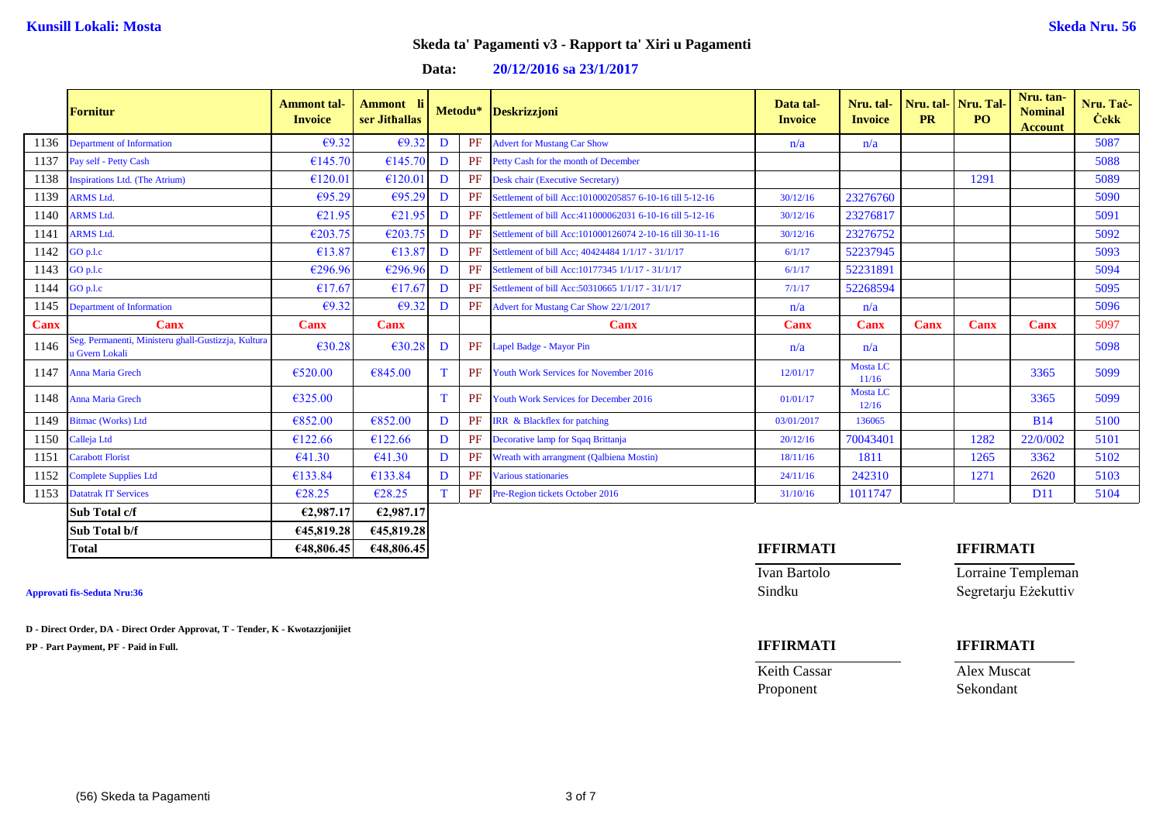### **Data: 20/12/2016 sa 23/1/2017**

|             | <b>Fornitur</b>                                                       | <b>Ammont tal-</b><br><b>Invoice</b> | Ammont li<br>ser Jithallas |    | Metodu*   | <b>Deskrizzjoni</b>                                        | Data tal-<br><b>Invoice</b> | Nru. tal-<br><b>Invoice</b> | <b>PR</b>   | Nru. tal-Nru. Tal-<br>PO. | Nru. tan-<br><b>Nominal</b><br><b>Account</b> | Nru. Tač-<br><b>Cekk</b> |
|-------------|-----------------------------------------------------------------------|--------------------------------------|----------------------------|----|-----------|------------------------------------------------------------|-----------------------------|-----------------------------|-------------|---------------------------|-----------------------------------------------|--------------------------|
| 1136        | Department of Information                                             | €9.32                                | €9.32                      | D  | PF        | <b>Advert for Mustang Car Show</b>                         | n/a                         | n/a                         |             |                           |                                               | 5087                     |
| 1137        | Pay self - Petty Cash                                                 | €145.70                              | €145.70                    | D  | PF        | Petty Cash for the month of December                       |                             |                             |             |                           |                                               | 5088                     |
| 1138        | Inspirations Ltd. (The Atrium)                                        | €120.01                              | €120.01                    | D  | PF        | <b>Desk chair (Executive Secretary)</b>                    |                             |                             |             | 1291                      |                                               | 5089                     |
| 1139        | <b>ARMS Ltd.</b>                                                      | €95.29                               | €95.29                     | D  | PF        | Settlement of bill Acc: 101000205857 6-10-16 till 5-12-16  | 30/12/16                    | 23276760                    |             |                           |                                               | 5090                     |
| 1140        | <b>ARMS</b> Ltd.                                                      | €21.95                               | €21.95                     | D  | PF        | Settlement of bill Acc: 411000062031 6-10-16 till 5-12-16  | 30/12/16                    | 23276817                    |             |                           |                                               | 5091                     |
| 1141        | <b>ARMS Ltd.</b>                                                      | €203.75                              | €203.75                    | D  | PF        | Settlement of bill Acc: 101000126074 2-10-16 till 30-11-16 | 30/12/16                    | 23276752                    |             |                           |                                               | 5092                     |
| 1142        | GO p.l.c                                                              | €13.87                               | €13.87                     | D  | PF        | Settlement of bill Acc; 40424484 1/1/17 - 31/1/17          | 6/1/17                      | 52237945                    |             |                           |                                               | 5093                     |
| 1143        | GO p.l.c                                                              | €296.96                              | €296.96                    | D  | PF        | Settlement of bill Acc: 10177345 1/1/17 - 31/1/17          | 6/1/17                      | 52231891                    |             |                           |                                               | 5094                     |
| 1144        | GO p.l.c                                                              | €17.67                               | €17.67                     | D  | PF        | Settlement of bill Acc: 50310665 1/1/17 - 31/1/17          | 7/1/17                      | 52268594                    |             |                           |                                               | 5095                     |
| 1145        | <b>Department of Information</b>                                      | €9.32                                | $\epsilon$ 9.32            | D  | PF        | Advert for Mustang Car Show 22/1/2017                      | n/a                         | n/a                         |             |                           |                                               | 5096                     |
| <b>Canx</b> | Canx                                                                  | <b>Canx</b>                          | <b>Canx</b>                |    |           | <b>Canx</b>                                                | Canx                        | Canx                        | <b>Canx</b> | Canx                      | <b>Canx</b>                                   | 5097                     |
| 1146        | Seg. Permanenti, Ministeru ghall-Gustizzja, Kultura<br>u Gvern Lokali | €30.28                               | €30.28                     | D  | PF        | Lapel Badge - Mayor Pin                                    | n/a                         | n/a                         |             |                           |                                               | 5098                     |
| 1147        | <b>Anna Maria Grech</b>                                               | €520.00                              | €845.00                    | T. |           | PF Youth Work Services for November 2016                   | 12/01/17                    | <b>Mosta LC</b><br>11/16    |             |                           | 3365                                          | 5099                     |
| 1148        | Anna Maria Grech                                                      | €325.00                              |                            | T  | PF        | <b>Youth Work Services for December 2016</b>               | 01/01/17                    | <b>Mosta LC</b><br>12/16    |             |                           | 3365                                          | 5099                     |
| 1149        | Bitmac (Works) Ltd                                                    | €852.00                              | €852.00                    | D  | <b>PF</b> | <b>IRR</b> & Blackflex for patching                        | 03/01/2017                  | 136065                      |             |                           | <b>B14</b>                                    | 5100                     |
| 1150        | Calleja Ltd                                                           | €122.66                              | €122.66                    | D  | PF        | Decorative lamp for Sqaq Brittanja                         | 20/12/16                    | 70043401                    |             | 1282                      | 22/0/002                                      | 5101                     |
| 1151        | <b>Carabott Florist</b>                                               | $\epsilon$ 41.30                     | $\epsilon$ 41.30           | D  | PF        | Wreath with arrangment (Qalbiena Mostin)                   | 18/11/16                    | 1811                        |             | 1265                      | 3362                                          | 5102                     |
| 1152        | <b>Complete Supplies Ltd</b>                                          | €133.84                              | €133.84                    | D  | PF        | Various stationaries                                       | 24/11/16                    | 242310                      |             | 1271                      | 2620                                          | 5103                     |
| 1153        | <b>Datatrak IT Services</b>                                           | €28.25                               | €28.25                     | T. |           | PF Pre-Region tickets October 2016                         | 31/10/16                    | 1011747                     |             |                           | D <sub>11</sub>                               | 5104                     |
|             | Sub Total c/f                                                         | €2,987,17                            | €2,987.17                  |    |           |                                                            |                             |                             |             |                           |                                               |                          |
|             | Sub Total b/f                                                         | €45,819.28                           | €45,819.28                 |    |           |                                                            |                             |                             |             |                           |                                               |                          |

**D - Direct Order, DA - Direct Order Approvat, T - Tender, K - Kwotazzjonijiet**

**PP - Part Payment, PF - Paid in Full. IFFIRMATI IFFIRMATI**

### **Total €48,806.45 €48,806.45 IFFIRMATI IFFIRMATI**

Ivan Bartolo Lorraine Templeman **Approvati fis-Seduta Nru:36** Sindku Segretarju Eżekuttiv

Proponent Sekondant

Keith Cassar **Alex Muscat**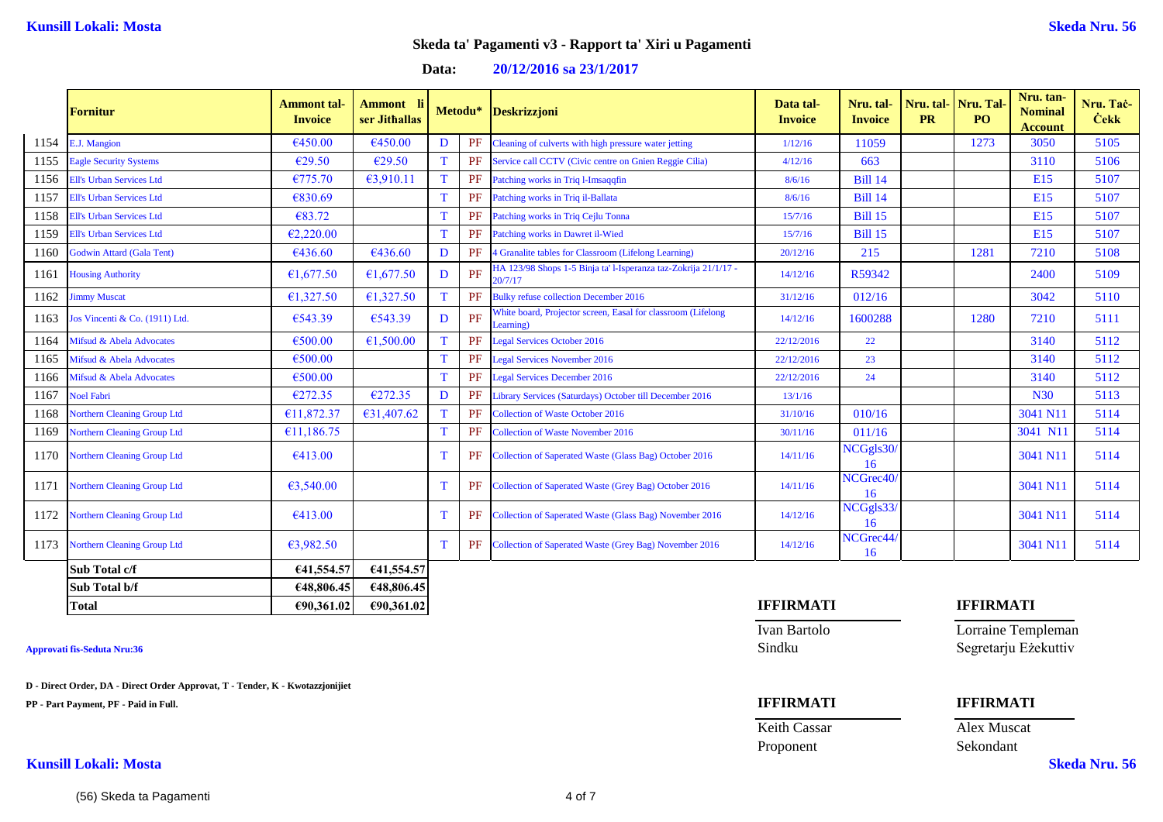### **Data: 20/12/2016 sa 23/1/2017**

|      | <b>Fornitur</b>                    | <b>Ammont</b> tal-<br><b>Invoice</b> | Ammont li<br>ser Jithallas |    | Metodu*   | <b>Deskrizzjoni</b>                                                        | Data tal-<br><b>Invoice</b> | Nru. tal-<br><b>Invoice</b> | <b>PR</b> | Nru. tal- Nru. Tal<br>PO. | Nru. tan-<br><b>Nominal</b><br><b>Account</b> | Nru. Taċ-<br><b>Cekk</b> |
|------|------------------------------------|--------------------------------------|----------------------------|----|-----------|----------------------------------------------------------------------------|-----------------------------|-----------------------------|-----------|---------------------------|-----------------------------------------------|--------------------------|
| 1154 | E.J. Mangion                       | €450.00                              | €450.00                    | D  | PF        | Cleaning of culverts with high pressure water jetting                      | 1/12/16                     | 11059                       |           | 1273                      | 3050                                          | 5105                     |
| 1155 | <b>Eagle Security Systems</b>      | €29.50                               | €29.50                     | T  | PF        | Service call CCTV (Civic centre on Gnien Reggie Cilia)                     | 4/12/16                     | 663                         |           |                           | 3110                                          | 5106                     |
| 1156 | <b>Ell's Urban Services Ltd</b>    | €775.70                              | 63,910.11                  | T  | <b>PF</b> | Patching works in Triq l-Imsaqqfin                                         | 8/6/16                      | <b>Bill 14</b>              |           |                           | E <sub>15</sub>                               | 5107                     |
| 1157 | <b>Ell's Urban Services Ltd</b>    | €830.69                              |                            | T  | PF        | Patching works in Triq il-Ballata                                          | 8/6/16                      | <b>Bill 14</b>              |           |                           | E15                                           | 5107                     |
| 1158 | <b>Ell's Urban Services Ltd</b>    | €83.72                               |                            | T  | PF        | Patching works in Triq Cejlu Tonna                                         | 15/7/16                     | <b>Bill 15</b>              |           |                           | E <sub>15</sub>                               | 5107                     |
| 1159 | <b>Ell's Urban Services Ltd</b>    | €2,220.00                            |                            | T. | PF        | Patching works in Dawret il-Wied                                           | 15/7/16                     | <b>Bill 15</b>              |           |                           | E15                                           | 5107                     |
| 1160 | <b>Godwin Attard (Gala Tent)</b>   | €436.60                              | €436.60                    | D  | PF        | 4 Granalite tables for Classroom (Lifelong Learning)                       | 20/12/16                    | 215                         |           | 1281                      | 7210                                          | 5108                     |
| 1161 | <b>Housing Authority</b>           | €1,677.50                            | €1,677.50                  | D  | PF        | HA 123/98 Shops 1-5 Binja ta' l-Isperanza taz-Zokrija 21/1/17 -<br>20/7/17 | 14/12/16                    | R59342                      |           |                           | 2400                                          | 5109                     |
| 1162 | <b>Jimmy Muscat</b>                | €1,327.50                            | €1,327.50                  | T  | PF        | <b>Bulky refuse collection December 2016</b>                               | 31/12/16                    | 012/16                      |           |                           | 3042                                          | 5110                     |
| 1163 | Jos Vincenti & Co. (1911) Ltd.     | €543.39                              | €543.39                    | D  | PF        | White board, Projector screen, Easal for classroom (Lifelong<br>Learning)  | 14/12/16                    | 1600288                     |           | 1280                      | 7210                                          | 5111                     |
| 1164 | Mifsud & Abela Advocates           | €500.00                              | €1,500.00                  | T. | PF        | <b>Legal Services October 2016</b>                                         | 22/12/2016                  | 22                          |           |                           | 3140                                          | 5112                     |
| 1165 | Mifsud & Abela Advocates           | €500.00                              |                            | T. | <b>PF</b> | <b>Legal Services November 2016</b>                                        | 22/12/2016                  | 23                          |           |                           | 3140                                          | 5112                     |
| 1166 | Mifsud & Abela Advocates           | $\epsilon$ 500.00                    |                            | T  | PF        | <b>Legal Services December 2016</b>                                        | 22/12/2016                  | 24                          |           |                           | 3140                                          | 5112                     |
| 1167 | <b>Noel Fabri</b>                  | €272.35                              | €272.35                    | D  | PF        | Library Services (Saturdays) October till December 2016                    | 13/1/16                     |                             |           |                           | <b>N30</b>                                    | 5113                     |
| 1168 | Northern Cleaning Group Ltd        | €11,872.37                           | €31,407.62                 | T. | <b>PF</b> | <b>Collection of Waste October 2016</b>                                    | 31/10/16                    | 010/16                      |           |                           | 3041 N11                                      | 5114                     |
| 1169 | <b>Northern Cleaning Group Ltd</b> | €11,186.75                           |                            | T  | PF        | <b>Collection of Waste November 2016</b>                                   | 30/11/16                    | 011/16                      |           |                           | 3041 N11                                      | 5114                     |
| 1170 | <b>Northern Cleaning Group Ltd</b> | €413.00                              |                            | T  | <b>PF</b> | Collection of Saperated Waste (Glass Bag) October 2016                     | 14/11/16                    | NCGgls30/<br>16             |           |                           | 3041 N11                                      | 5114                     |
| 1171 | <b>Northern Cleaning Group Ltd</b> | €3,540.00                            |                            | T  | PF        | Collection of Saperated Waste (Grey Bag) October 2016                      | 14/11/16                    | NCGrec40<br>16              |           |                           | 3041 N11                                      | 5114                     |
| 1172 | <b>Northern Cleaning Group Ltd</b> | €413.00                              |                            | T  | PF        | Collection of Saperated Waste (Glass Bag) November 2016                    | 14/12/16                    | NCGgls33/<br>16             |           |                           | 3041 N11                                      | 5114                     |
| 1173 | <b>Northern Cleaning Group Ltd</b> | 63,982.50                            |                            | T  | PF        | Collection of Saperated Waste (Grey Bag) November 2016                     | 14/12/16                    | NCGrec44/<br>16             |           |                           | 3041 N11                                      | 5114                     |
|      | Sub Total c/f                      | €41,554.57                           | €41,554.57                 |    |           |                                                                            |                             |                             |           |                           |                                               |                          |
|      | Sub Total b/f                      | €48,806.45                           | €48,806.45                 |    |           |                                                                            |                             |                             |           |                           |                                               |                          |

**D - Direct Order, DA - Direct Order Approvat, T - Tender, K - Kwotazzjonijiet**

**PP - Part Payment, PF - Paid in Full. IFFIRMATI IFFIRMATI**

**Kunsill Lokali: Mosta Skeda Nru. 56**

**Total €90,361.02 €90,361.02 IFFIRMATI IFFIRMATI**

Keith Cassar Alex Muscat Proponent Sekondant

Ivan Bartolo Lorraine Templeman **Approvati fis-Seduta Nru:36** Sindku Segretarju Eżekuttiv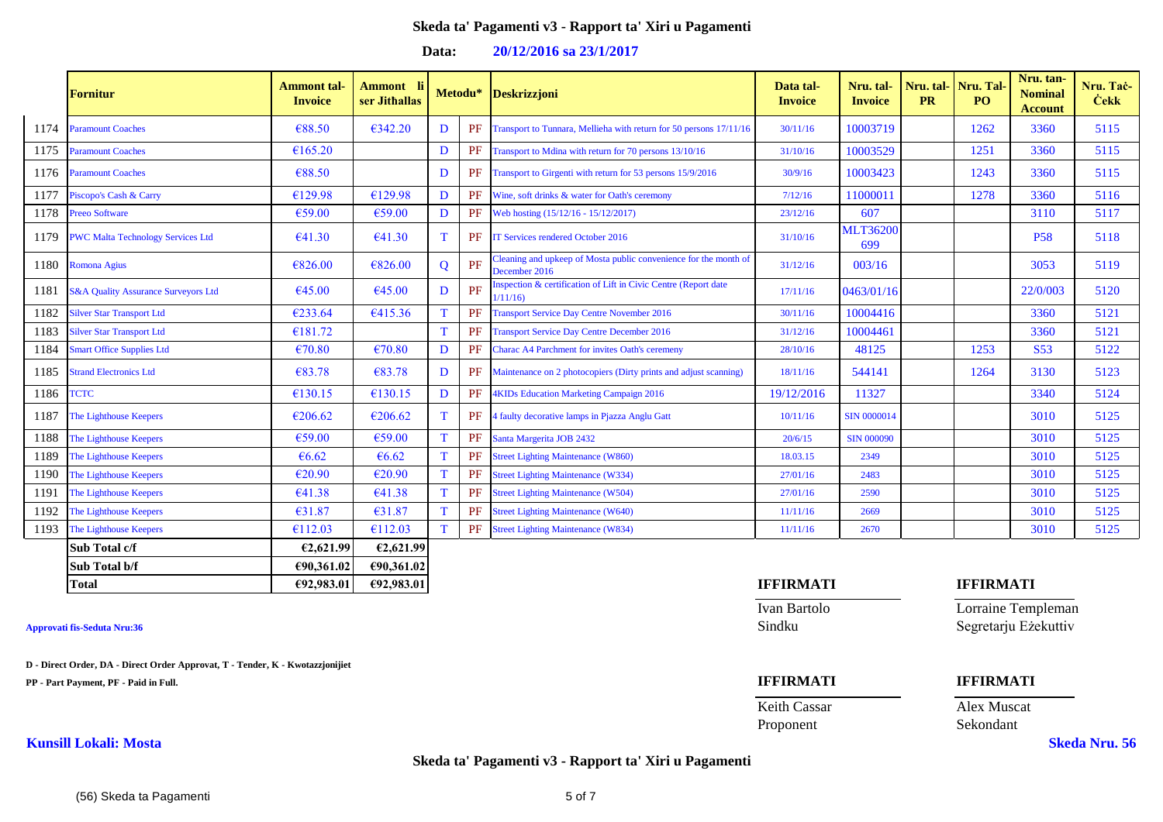### **Data: 20/12/2016 sa 23/1/2017**

|      | <b>Fornitur</b>                                | <b>Ammont</b> tal-<br><b>Invoice</b> | <b>Ammont</b> li<br>ser Jithallas |              |    | Metodu* Deskrizzjoni                                                              | Data tal-<br><b>Invoice</b> | Nru. tal-<br><b>Invoice</b> | <b>PR</b> | Nru. tal- Nru. Tal<br>PO <sub>1</sub> | Nru. tan-<br><b>Nominal</b><br><b>Account</b> | Nru. Tač-<br><b>Cekk</b> |
|------|------------------------------------------------|--------------------------------------|-----------------------------------|--------------|----|-----------------------------------------------------------------------------------|-----------------------------|-----------------------------|-----------|---------------------------------------|-----------------------------------------------|--------------------------|
| 1174 | <b>Paramount Coaches</b>                       | €88.50                               | €342.20                           | D            | PF | Transport to Tunnara, Mellieha with return for 50 persons 17/11/16                | 30/11/16                    | 10003719                    |           | 1262                                  | 3360                                          | 5115                     |
| 1175 | <b>Paramount Coaches</b>                       | €165.20                              |                                   | D            | PF | Transport to Mdina with return for 70 persons 13/10/16                            | 31/10/16                    | 10003529                    |           | 1251                                  | 3360                                          | 5115                     |
| 1176 | <b>Paramount Coaches</b>                       | €88.50                               |                                   | D            | PF | Transport to Girgenti with return for 53 persons 15/9/2016                        | 30/9/16                     | 10003423                    |           | 1243                                  | 3360                                          | 5115                     |
| 1177 | Piscopo's Cash & Carry                         | €129.98                              | €129.98                           | D            | PF | Wine, soft drinks & water for Oath's ceremony                                     | 7/12/16                     | 11000011                    |           | 1278                                  | 3360                                          | 5116                     |
| 1178 | <b>Preeo Software</b>                          | €59.00                               | €59.00                            | D            | PF | Web hosting (15/12/16 - 15/12/2017)                                               | 23/12/16                    | 607                         |           |                                       | 3110                                          | 5117                     |
| 1179 | <b>PWC Malta Technology Services Ltd</b>       | €41.30                               | €41.30                            | $\mathbf T$  |    | PF IT Services rendered October 2016                                              | 31/10/16                    | <b>MLT36200</b><br>699      |           |                                       | <b>P58</b>                                    | 5118                     |
| 1180 | Romona Agius                                   | €826.00                              | €826.00                           | $\mathbf{Q}$ | PF | Cleaning and upkeep of Mosta public convenience for the month of<br>December 2016 | 31/12/16                    | 003/16                      |           |                                       | 3053                                          | 5119                     |
| 1181 | <b>S&amp;A Quality Assurance Surveyors Ltd</b> | €45.00                               | €45.00                            | D            | PF | Inspection & certification of Lift in Civic Centre (Report date<br>1/11/16        | 17/11/16                    | 0463/01/16                  |           |                                       | 22/0/003                                      | 5120                     |
| 1182 | <b>Silver Star Transport Ltd</b>               | €233.64                              | €415.36                           | Т            | PF | <b>Fransport Service Day Centre November 2016</b>                                 | 30/11/16                    | 10004416                    |           |                                       | 3360                                          | 5121                     |
| 1183 | <b>Silver Star Transport Ltd</b>               | €181.72                              |                                   | $\mathbf T$  | PF | <b>Transport Service Day Centre December 2016</b>                                 | 31/12/16                    | 10004461                    |           |                                       | 3360                                          | 5121                     |
| 1184 | <b>Smart Office Supplies Ltd</b>               | €70.80                               | €70.80                            | D            | PF | Charac A4 Parchment for invites Oath's ceremeny                                   | 28/10/16                    | 48125                       |           | 1253                                  | <b>S53</b>                                    | 5122                     |
| 1185 | <b>Strand Electronics Ltd</b>                  | €83.78                               | €83.78                            | D            | PF | Maintenance on 2 photocopiers (Dirty prints and adjust scanning)                  | 18/11/16                    | 544141                      |           | 1264                                  | 3130                                          | 5123                     |
| 1186 | <b>TCTC</b>                                    | €130.15                              | €130.15                           | D            | PF | <b>4KIDs Education Marketing Campaign 2016</b>                                    | 19/12/2016                  | 11327                       |           |                                       | 3340                                          | 5124                     |
| 1187 | The Lighthouse Keepers                         | €206.62                              | €206.62                           | T            | PF | 4 faulty decorative lamps in Pjazza Anglu Gatt                                    | 10/11/16                    | <b>SIN 0000014</b>          |           |                                       | 3010                                          | 5125                     |
| 1188 | The Lighthouse Keepers                         | €59.00                               | €59.00                            | T            | PF | Santa Margerita JOB 2432                                                          | 20/6/15                     | <b>SIN 000090</b>           |           |                                       | 3010                                          | 5125                     |
| 1189 | The Lighthouse Keepers                         | €6.62                                | €6.62                             | T            | PF | <b>Street Lighting Maintenance (W860)</b>                                         | 18.03.15                    | 2349                        |           |                                       | 3010                                          | 5125                     |
| 1190 | The Lighthouse Keepers                         | €20.90                               | €20.90                            | T            | PF | <b>Street Lighting Maintenance (W334)</b>                                         | 27/01/16                    | 2483                        |           |                                       | 3010                                          | 5125                     |
| 1191 | The Lighthouse Keepers                         | €41.38                               | €41.38                            | T            | PF | <b>Street Lighting Maintenance (W504)</b>                                         | 27/01/16                    | 2590                        |           |                                       | 3010                                          | 5125                     |
| 1192 | The Lighthouse Keepers                         | €31.87                               | €31.87                            | T            | PF | <b>Street Lighting Maintenance (W640)</b>                                         | 11/11/16                    | 2669                        |           |                                       | 3010                                          | 5125                     |
| 1193 | The Lighthouse Keepers                         | €112.03                              | €112.03                           | $\mathbf T$  | PF | <b>Street Lighting Maintenance (W834)</b>                                         | 11/11/16                    | 2670                        |           |                                       | 3010                                          | 5125                     |
|      | Sub Total c/f                                  | £2,621.99                            | £2,621.99                         |              |    |                                                                                   |                             |                             |           |                                       |                                               |                          |
|      | Sub Total b/f                                  | €90.361.02                           | €90,361.02                        |              |    |                                                                                   |                             |                             |           |                                       |                                               |                          |
|      | <b>Total</b>                                   | €92,983.01                           | €92,983.01                        |              |    |                                                                                   | <b>IFFIRMATI</b>            |                             |           | <b>IFFIRMATI</b>                      |                                               |                          |

**D - Direct Order, DA - Direct Order Approvat, T - Tender, K - Kwotazzjonijiet**

**PP - Part Payment, PF - Paid in Full. IFFIRMATI IFFIRMATI**

Proponent Sekondant

Ivan Bartolo Lorraine Templeman **Approvati fis-Seduta Nru:36** Sindku Segretarju Eżekuttiv

Keith Cassar **Alex Muscat** 

**Kunsill Lokali: Mosta Skeda Nru. 56**

### **Skeda ta' Pagamenti v3 - Rapport ta' Xiri u Pagamenti**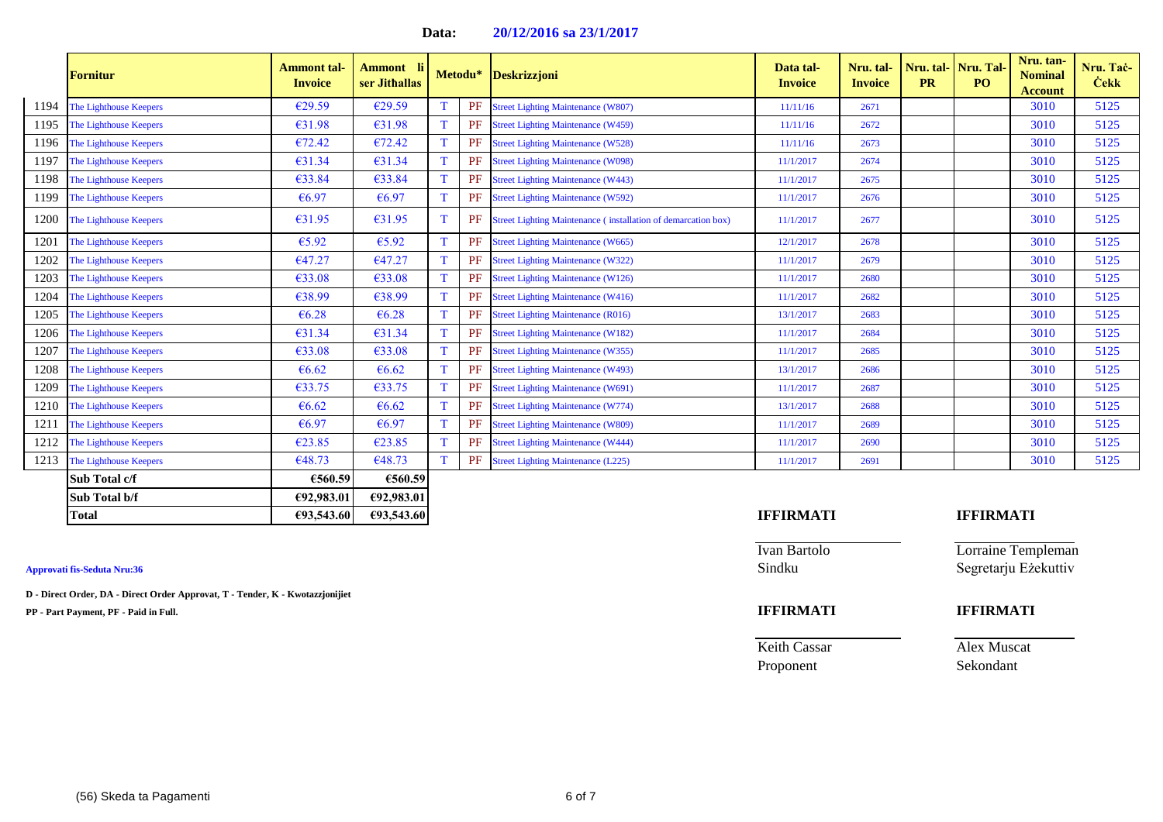### **Data: 20/12/2016 sa 23/1/2017**

|      | <b>Fornitur</b>        | <b>Ammont</b> tal-<br><b>Invoice</b> | Ammont li<br>ser Jithallas |    | Metodu*   | Deskrizzjoni                                                         | Data tal-<br><b>Invoice</b> | Nru. tal-<br><b>Invoice</b> | <b>PR</b> | Nru. tal- Nru. Tal-<br>PO. | Nru. tan-<br><b>Nominal</b><br><b>Account</b> | Nru. Tač-<br><b>Cekk</b> |
|------|------------------------|--------------------------------------|----------------------------|----|-----------|----------------------------------------------------------------------|-----------------------------|-----------------------------|-----------|----------------------------|-----------------------------------------------|--------------------------|
| 1194 | The Lighthouse Keepers | €29.59                               | €29.59                     |    | PF        | <b>Street Lighting Maintenance (W807)</b>                            | 11/11/16                    | 2671                        |           |                            | 3010                                          | 5125                     |
| 1195 | The Lighthouse Keepers | €31.98                               | €31.98                     |    | PF        | <b>Street Lighting Maintenance (W459)</b>                            | 11/11/16                    | 2672                        |           |                            | 3010                                          | 5125                     |
| 1196 | The Lighthouse Keepers | €72.42                               | €72.42                     | T. | PF        | <b>Street Lighting Maintenance (W528)</b>                            | 11/11/16                    | 2673                        |           |                            | 3010                                          | 5125                     |
| 1197 | The Lighthouse Keepers | €31.34                               | €31.34                     |    | PF        | <b>Street Lighting Maintenance (W098)</b>                            | 11/1/2017                   | 2674                        |           |                            | 3010                                          | 5125                     |
| 1198 | The Lighthouse Keepers | €33.84                               | €33.84                     | T. | PF        | <b>Street Lighting Maintenance (W443)</b>                            | 11/1/2017                   | 2675                        |           |                            | 3010                                          | 5125                     |
| 1199 | The Lighthouse Keepers | €6.97                                | €6.97                      | T. | PF        | <b>Street Lighting Maintenance (W592)</b>                            | 11/1/2017                   | 2676                        |           |                            | 3010                                          | 5125                     |
| 1200 | The Lighthouse Keepers | $\epsilon$ 31.95                     | $\epsilon$ 31.95           | T. | PF        | <b>Street Lighting Maintenance (installation of demarcation box)</b> | 11/1/2017                   | 2677                        |           |                            | 3010                                          | 5125                     |
| 1201 | The Lighthouse Keepers | €5.92                                | €5.92                      |    | PF        | <b>Street Lighting Maintenance (W665)</b>                            | 12/1/2017                   | 2678                        |           |                            | 3010                                          | 5125                     |
| 1202 | The Lighthouse Keepers | €47.27                               | €47.27                     |    | PF        | <b>Street Lighting Maintenance (W322)</b>                            | 11/1/2017                   | 2679                        |           |                            | 3010                                          | 5125                     |
| 1203 | The Lighthouse Keepers | €33.08                               | €33.08                     |    | PF        | <b>Street Lighting Maintenance (W126)</b>                            | 11/1/2017                   | 2680                        |           |                            | 3010                                          | 5125                     |
| 1204 | The Lighthouse Keepers | €38.99                               | €38.99                     |    | <b>PF</b> | <b>Street Lighting Maintenance (W416)</b>                            | 11/1/2017                   | 2682                        |           |                            | 3010                                          | 5125                     |
| 1205 | The Lighthouse Keepers | €6.28                                | €6.28                      |    | PF        | <b>Street Lighting Maintenance (R016)</b>                            | 13/1/2017                   | 2683                        |           |                            | 3010                                          | 5125                     |
| 1206 | The Lighthouse Keepers | €31.34                               | €31.34                     |    | PF        | <b>Street Lighting Maintenance (W182)</b>                            | 11/1/2017                   | 2684                        |           |                            | 3010                                          | 5125                     |
| 1207 | The Lighthouse Keepers | €33.08                               | €33.08                     | T. | PF        | <b>Street Lighting Maintenance (W355)</b>                            | 11/1/2017                   | 2685                        |           |                            | 3010                                          | 5125                     |
| 1208 | The Lighthouse Keepers | €6.62                                | €6.62                      |    | PF        | <b>Street Lighting Maintenance (W493)</b>                            | 13/1/2017                   | 2686                        |           |                            | 3010                                          | 5125                     |
| 1209 | The Lighthouse Keepers | €33.75                               | €33.75                     |    | PF        | <b>Street Lighting Maintenance (W691)</b>                            | 11/1/2017                   | 2687                        |           |                            | 3010                                          | 5125                     |
| 1210 | The Lighthouse Keepers | €6.62                                | €6.62                      | T. | <b>PF</b> | <b>Street Lighting Maintenance (W774)</b>                            | 13/1/2017                   | 2688                        |           |                            | 3010                                          | 5125                     |
| 1211 | The Lighthouse Keepers | €6.97                                | €6.97                      |    | PF        | <b>Street Lighting Maintenance (W809)</b>                            | 11/1/2017                   | 2689                        |           |                            | 3010                                          | 5125                     |
| 1212 | The Lighthouse Keepers | €23.85                               | €23.85                     | T. | PF        | <b>Street Lighting Maintenance (W444)</b>                            | 11/1/2017                   | 2690                        |           |                            | 3010                                          | 5125                     |
| 1213 | The Lighthouse Keepers | €48.73                               | €48.73                     |    | PF        | <b>Street Lighting Maintenance (L225)</b>                            | 11/1/2017                   | 2691                        |           |                            | 3010                                          | 5125                     |
|      | Sub Total c/f          | €560.59                              | €560.59                    |    |           |                                                                      |                             |                             |           |                            |                                               |                          |
|      | Sub Total b/f          | €92,983.01                           | €92,983.01                 |    |           |                                                                      |                             |                             |           |                            |                                               |                          |

| Approvati fis-Seduta Nru:36 |  |  |
|-----------------------------|--|--|

**D - Direct Order, DA - Direct Order Approvat, T - Tender, K - Kwotazzjonijiet**

**PP - Part Payment, PF - Paid in Full. IFFIRMATI IFFIRMATI**

# **Total €93,543.60 €93,543.60 IFFIRMATI IFFIRMATI**

# Ivan Bartolo Lorraine Templeman **Approvati fis-Seduta Nru:36** Sindku Segretarju Eżekuttiv

Proponent Sekondant

Keith Cassar **Alex Muscat**